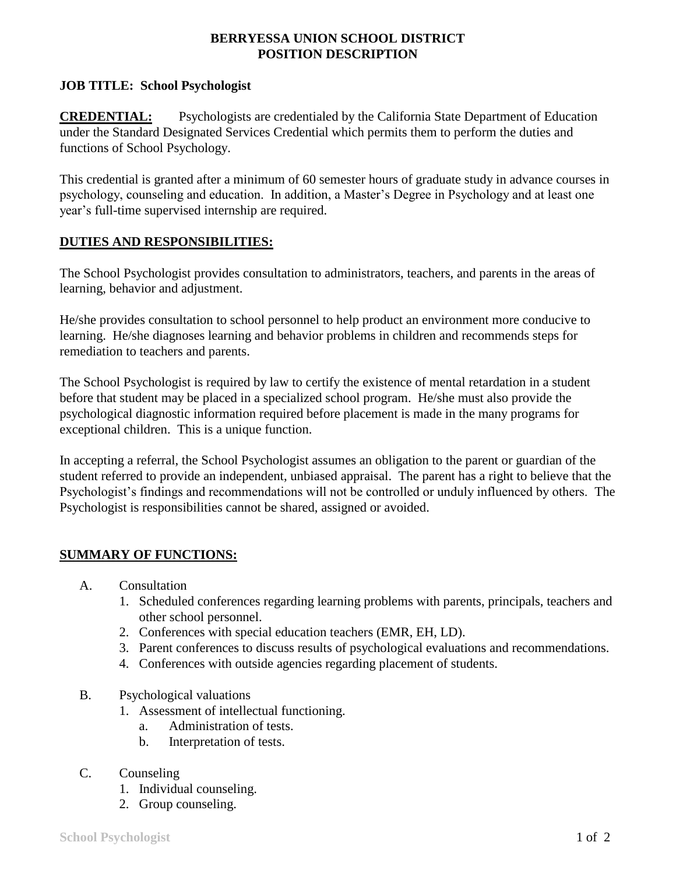## **BERRYESSA UNION SCHOOL DISTRICT POSITION DESCRIPTION**

## **JOB TITLE: School Psychologist**

**CREDENTIAL:** Psychologists are credentialed by the California State Department of Education under the Standard Designated Services Credential which permits them to perform the duties and functions of School Psychology.

This credential is granted after a minimum of 60 semester hours of graduate study in advance courses in psychology, counseling and education. In addition, a Master's Degree in Psychology and at least one year's full-time supervised internship are required.

### **DUTIES AND RESPONSIBILITIES:**

The School Psychologist provides consultation to administrators, teachers, and parents in the areas of learning, behavior and adjustment.

He/she provides consultation to school personnel to help product an environment more conducive to learning. He/she diagnoses learning and behavior problems in children and recommends steps for remediation to teachers and parents.

The School Psychologist is required by law to certify the existence of mental retardation in a student before that student may be placed in a specialized school program. He/she must also provide the psychological diagnostic information required before placement is made in the many programs for exceptional children. This is a unique function.

In accepting a referral, the School Psychologist assumes an obligation to the parent or guardian of the student referred to provide an independent, unbiased appraisal. The parent has a right to believe that the Psychologist's findings and recommendations will not be controlled or unduly influenced by others. The Psychologist is responsibilities cannot be shared, assigned or avoided.

# **SUMMARY OF FUNCTIONS:**

- A. Consultation
	- 1. Scheduled conferences regarding learning problems with parents, principals, teachers and other school personnel.
	- 2. Conferences with special education teachers (EMR, EH, LD).
	- 3. Parent conferences to discuss results of psychological evaluations and recommendations.
	- 4. Conferences with outside agencies regarding placement of students.
- B. Psychological valuations
	- 1. Assessment of intellectual functioning.
		- a. Administration of tests.
		- b. Interpretation of tests.
- C. Counseling
	- 1. Individual counseling.
	- 2. Group counseling.